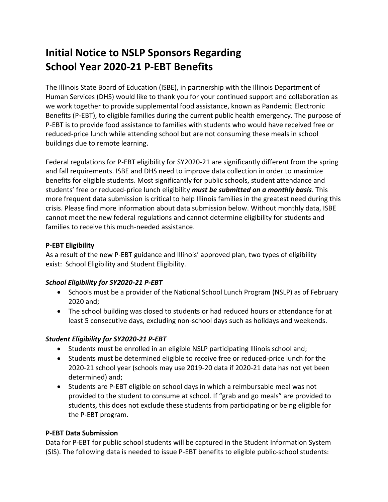# **Initial Notice to NSLP Sponsors Regarding School Year 2020-21 P-EBT Benefits**

The Illinois State Board of Education (ISBE), in partnership with the Illinois Department of Human Services (DHS) would like to thank you for your continued support and collaboration as we work together to provide supplemental food assistance, known as Pandemic Electronic Benefits (P-EBT), to eligible families during the current public health emergency. The purpose of P-EBT is to provide food assistance to families with students who would have received free or reduced-price lunch while attending school but are not consuming these meals in school buildings due to remote learning.

Federal regulations for P-EBT eligibility for SY2020-21 are significantly different from the spring and fall requirements. ISBE and DHS need to improve data collection in order to maximize benefits for eligible students. Most significantly for public schools, student attendance and students' free or reduced-price lunch eligibility *must be submitted on a monthly basis*. This more frequent data submission is critical to help Illinois families in the greatest need during this crisis. Please find more information about data submission below. Without monthly data, ISBE cannot meet the new federal regulations and cannot determine eligibility for students and families to receive this much-needed assistance.

## **P-EBT Eligibility**

As a result of the new P-EBT guidance and Illinois' approved plan, two types of eligibility exist: School Eligibility and Student Eligibility.

### *School Eligibility for SY2020-21 P-EBT*

- Schools must be a provider of the National School Lunch Program (NSLP) as of February 2020 and;
- The school building was closed to students or had reduced hours or attendance for at least 5 consecutive days, excluding non-school days such as holidays and weekends.

### *Student Eligibility for SY2020-21 P-EBT*

- Students must be enrolled in an eligible NSLP participating Illinois school and;
- Students must be determined eligible to receive free or reduced-price lunch for the 2020-21 school year (schools may use 2019-20 data if 2020-21 data has not yet been determined) and;
- Students are P-EBT eligible on school days in which a reimbursable meal was not provided to the student to consume at school. If "grab and go meals" are provided to students, this does not exclude these students from participating or being eligible for the P-EBT program.

### **P-EBT Data Submission**

Data for P-EBT for public school students will be captured in the Student Information System (SIS). The following data is needed to issue P-EBT benefits to eligible public-school students: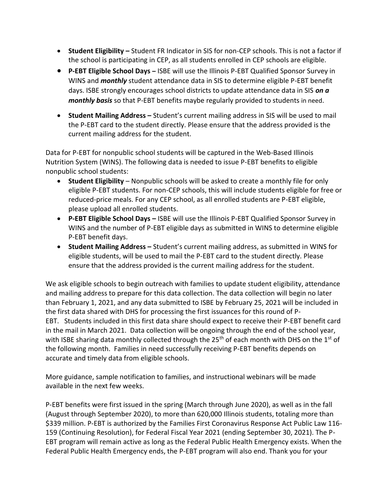- **Student Eligibility –** Student FR Indicator in SIS for non-CEP schools. This is not a factor if the school is participating in CEP, as all students enrolled in CEP schools are eligible.
- **P-EBT Eligible School Days –** ISBE will use the Illinois P-EBT Qualified Sponsor Survey in WINS and *monthly* student attendance data in SIS to determine eligible P-EBT benefit days. ISBE strongly encourages school districts to update attendance data in SIS *on a monthly basis* so that P-EBT benefits maybe regularly provided to students in need.
- **Student Mailing Address –** Student's current mailing address in SIS will be used to mail the P-EBT card to the student directly. Please ensure that the address provided is the current mailing address for the student.

Data for P-EBT for nonpublic school students will be captured in the Web-Based Illinois Nutrition System (WINS). The following data is needed to issue P-EBT benefits to eligible nonpublic school students:

- **Student Eligibility** Nonpublic schools will be asked to create a monthly file for only eligible P-EBT students. For non-CEP schools, this will include students eligible for free or reduced-price meals. For any CEP school, as all enrolled students are P-EBT eligible, please upload all enrolled students.
- **P-EBT Eligible School Days –** ISBE will use the Illinois P-EBT Qualified Sponsor Survey in WINS and the number of P-EBT eligible days as submitted in WINS to determine eligible P-EBT benefit days.
- **Student Mailing Address –** Student's current mailing address, as submitted in WINS for eligible students, will be used to mail the P-EBT card to the student directly. Please ensure that the address provided is the current mailing address for the student.

We ask eligible schools to begin outreach with families to update student eligibility, attendance and mailing address to prepare for this data collection. The data collection will begin no later than February 1, 2021, and any data submitted to ISBE by February 25, 2021 will be included in the first data shared with DHS for processing the first issuances for this round of P-EBT. Students included in this first data share should expect to receive their P-EBT benefit card in the mail in March 2021. Data collection will be ongoing through the end of the school year, with ISBE sharing data monthly collected through the 25<sup>th</sup> of each month with DHS on the 1<sup>st</sup> of the following month. Families in need successfully receiving P-EBT benefits depends on accurate and timely data from eligible schools.

More guidance, sample notification to families, and instructional webinars will be made available in the next few weeks.

P-EBT benefits were first issued in the spring (March through June 2020), as well as in the fall (August through September 2020), to more than 620,000 Illinois students, totaling more than \$339 million. P-EBT is authorized by the Families First Coronavirus Response Act Public Law 116- 159 (Continuing Resolution), for Federal Fiscal Year 2021 (ending September 30, 2021). The P-EBT program will remain active as long as the Federal Public Health Emergency exists. When the Federal Public Health Emergency ends, the P-EBT program will also end. Thank you for your